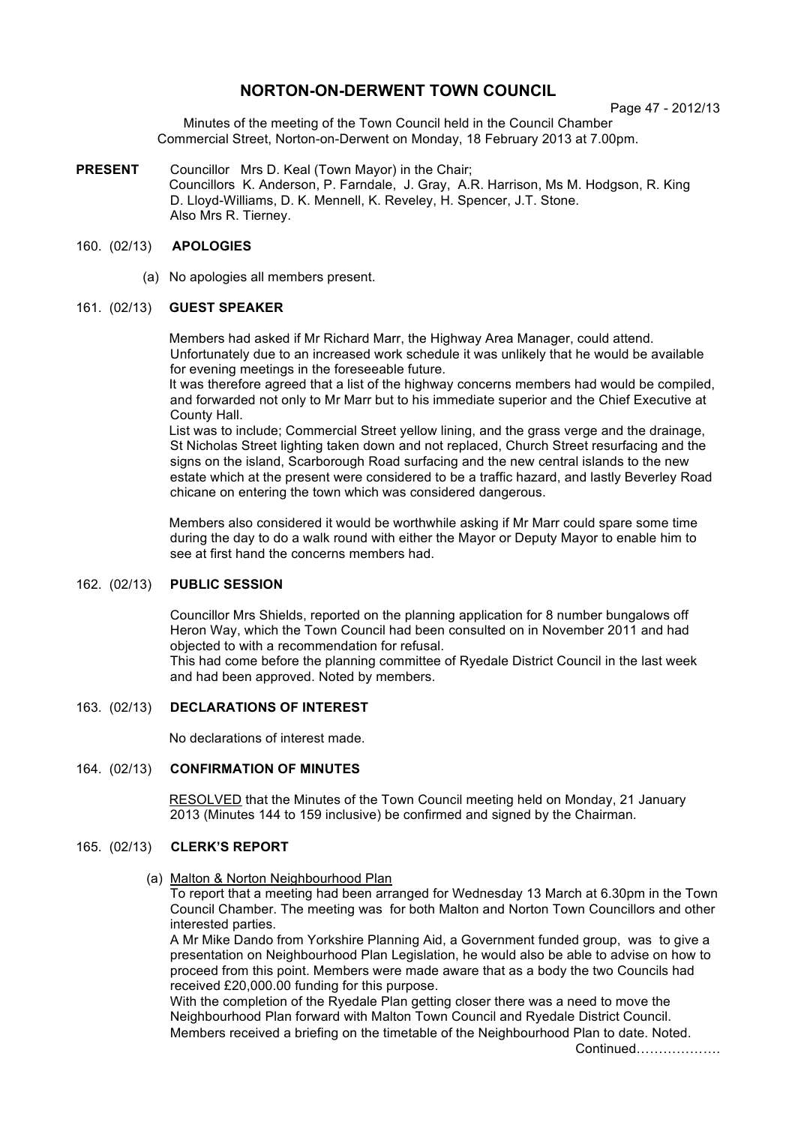# **NORTON-ON-DERWENT TOWN COUNCIL**

Page 47 - 2012/13

Minutes of the meeting of the Town Council held in the Council Chamber Commercial Street, Norton-on-Derwent on Monday, 18 February 2013 at 7.00pm.

**PRESENT** Councillor Mrs D. Keal (Town Mayor) in the Chair; Councillors K. Anderson, P. Farndale, J. Gray, A.R. Harrison, Ms M. Hodgson, R. King D. Lloyd-Williams, D. K. Mennell, K. Reveley, H. Spencer, J.T. Stone. Also Mrs R. Tierney.

### 160. (02/13) **APOLOGIES**

(a) No apologies all members present.

### 161. (02/13) **GUEST SPEAKER**

Members had asked if Mr Richard Marr, the Highway Area Manager, could attend. Unfortunately due to an increased work schedule it was unlikely that he would be available for evening meetings in the foreseeable future.

It was therefore agreed that a list of the highway concerns members had would be compiled, and forwarded not only to Mr Marr but to his immediate superior and the Chief Executive at County Hall.

List was to include; Commercial Street yellow lining, and the grass verge and the drainage, St Nicholas Street lighting taken down and not replaced, Church Street resurfacing and the signs on the island, Scarborough Road surfacing and the new central islands to the new estate which at the present were considered to be a traffic hazard, and lastly Beverley Road chicane on entering the town which was considered dangerous.

Members also considered it would be worthwhile asking if Mr Marr could spare some time during the day to do a walk round with either the Mayor or Deputy Mayor to enable him to see at first hand the concerns members had.

## 162. (02/13) **PUBLIC SESSION**

Councillor Mrs Shields, reported on the planning application for 8 number bungalows off Heron Way, which the Town Council had been consulted on in November 2011 and had objected to with a recommendation for refusal.

This had come before the planning committee of Ryedale District Council in the last week and had been approved. Noted by members.

### 163. (02/13) **DECLARATIONS OF INTEREST**

No declarations of interest made.

### 164. (02/13) **CONFIRMATION OF MINUTES**

 RESOLVED that the Minutes of the Town Council meeting held on Monday, 21 January 2013 (Minutes 144 to 159 inclusive) be confirmed and signed by the Chairman.

### 165. (02/13) **CLERK'S REPORT**

(a) Malton & Norton Neighbourhood Plan

To report that a meeting had been arranged for Wednesday 13 March at 6.30pm in the Town Council Chamber. The meeting was for both Malton and Norton Town Councillors and other interested parties.

A Mr Mike Dando from Yorkshire Planning Aid, a Government funded group, was to give a presentation on Neighbourhood Plan Legislation, he would also be able to advise on how to proceed from this point. Members were made aware that as a body the two Councils had received £20,000.00 funding for this purpose.

With the completion of the Ryedale Plan getting closer there was a need to move the Neighbourhood Plan forward with Malton Town Council and Ryedale District Council. Members received a briefing on the timetable of the Neighbourhood Plan to date. Noted.

Continued……………….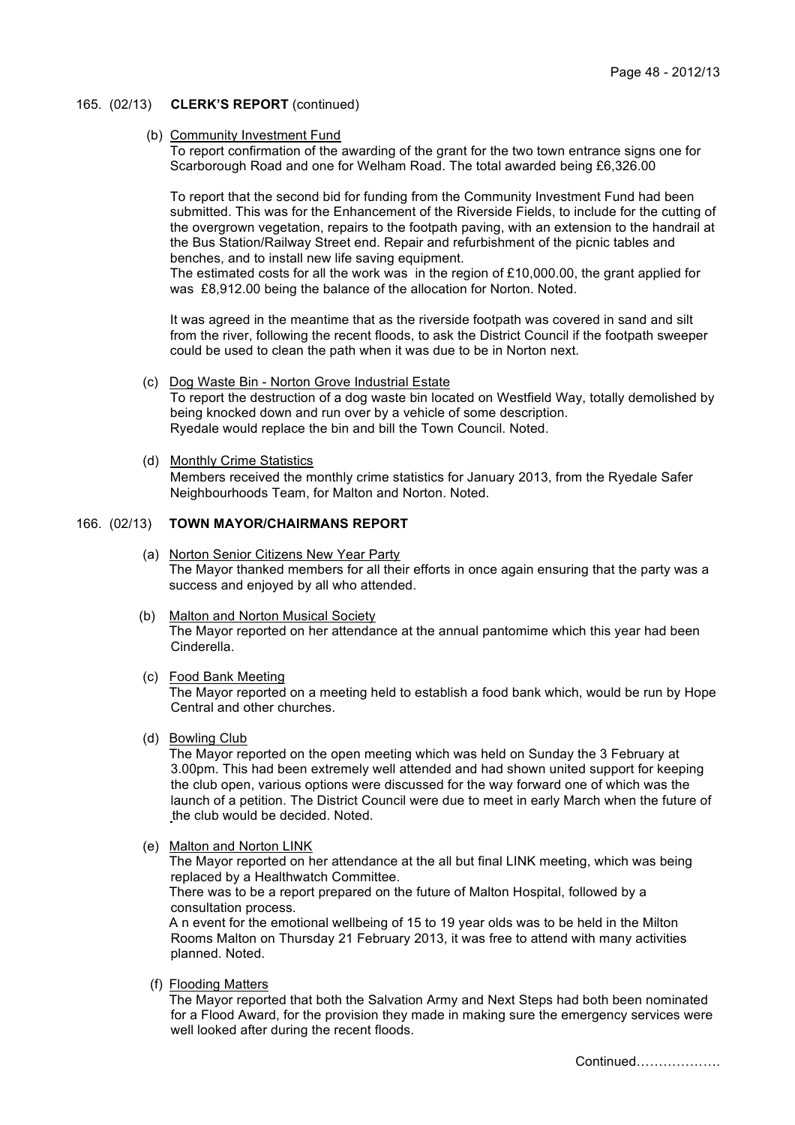#### 165. (02/13) **CLERK'S REPORT** (continued)

#### (b) Community Investment Fund

 To report confirmation of the awarding of the grant for the two town entrance signs one for Scarborough Road and one for Welham Road. The total awarded being £6,326.00

To report that the second bid for funding from the Community Investment Fund had been submitted. This was for the Enhancement of the Riverside Fields, to include for the cutting of the overgrown vegetation, repairs to the footpath paving, with an extension to the handrail at the Bus Station/Railway Street end. Repair and refurbishment of the picnic tables and benches, and to install new life saving equipment.

The estimated costs for all the work was in the region of £10,000,00, the grant applied for was £8,912.00 being the balance of the allocation for Norton. Noted.

It was agreed in the meantime that as the riverside footpath was covered in sand and silt from the river, following the recent floods, to ask the District Council if the footpath sweeper could be used to clean the path when it was due to be in Norton next.

- (c) Dog Waste Bin Norton Grove Industrial Estate To report the destruction of a dog waste bin located on Westfield Way, totally demolished by being knocked down and run over by a vehicle of some description. Ryedale would replace the bin and bill the Town Council. Noted.
- (d) Monthly Crime Statistics Members received the monthly crime statistics for January 2013, from the Ryedale Safer Neighbourhoods Team, for Malton and Norton. Noted.

#### 166. (02/13) **TOWN MAYOR/CHAIRMANS REPORT**

- (a) Norton Senior Citizens New Year Party The Mayor thanked members for all their efforts in once again ensuring that the party was a success and enjoyed by all who attended.
- (b) Malton and Norton Musical Society The Mayor reported on her attendance at the annual pantomime which this year had been Cinderella.
- (c) Food Bank Meeting

The Mayor reported on a meeting held to establish a food bank which, would be run by Hope Central and other churches.

(d) Bowling Club

The Mayor reported on the open meeting which was held on Sunday the 3 February at 3.00pm. This had been extremely well attended and had shown united support for keeping the club open, various options were discussed for the way forward one of which was the launch of a petition. The District Council were due to meet in early March when the future of the club would be decided. Noted.

(e) Malton and Norton LINK

The Mayor reported on her attendance at the all but final LINK meeting, which was being replaced by a Healthwatch Committee.

There was to be a report prepared on the future of Malton Hospital, followed by a consultation process.

A n event for the emotional wellbeing of 15 to 19 year olds was to be held in the Milton Rooms Malton on Thursday 21 February 2013, it was free to attend with many activities planned. Noted.

(f) Flooding Matters

The Mayor reported that both the Salvation Army and Next Steps had both been nominated for a Flood Award, for the provision they made in making sure the emergency services were well looked after during the recent floods.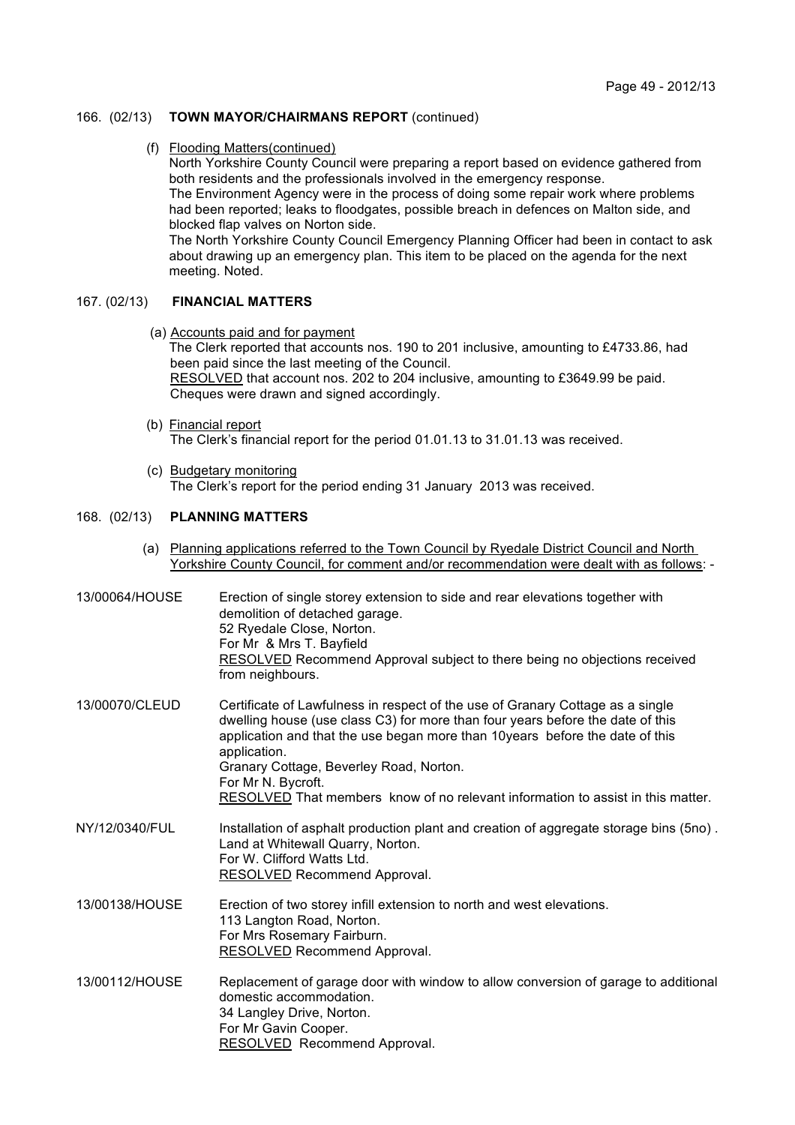### 166. (02/13) **TOWN MAYOR/CHAIRMANS REPORT** (continued)

(f) Flooding Matters(continued)

North Yorkshire County Council were preparing a report based on evidence gathered from both residents and the professionals involved in the emergency response. The Environment Agency were in the process of doing some repair work where problems had been reported; leaks to floodgates, possible breach in defences on Malton side, and blocked flap valves on Norton side. The North Yorkshire County Council Emergency Planning Officer had been in contact to ask about drawing up an emergency plan. This item to be placed on the agenda for the next meeting. Noted.

## 167. (02/13) **FINANCIAL MATTERS**

- (a) Accounts paid and for payment The Clerk reported that accounts nos. 190 to 201 inclusive, amounting to £4733.86, had been paid since the last meeting of the Council. RESOLVED that account nos. 202 to 204 inclusive, amounting to £3649.99 be paid. Cheques were drawn and signed accordingly.
- (b) Financial report The Clerk's financial report for the period 01.01.13 to 31.01.13 was received.
- (c) Budgetary monitoring The Clerk's report for the period ending 31 January 2013 was received.

### 168. (02/13) **PLANNING MATTERS**

 (a) Planning applications referred to the Town Council by Ryedale District Council and North Yorkshire County Council, for comment and/or recommendation were dealt with as follows: -

| 13/00064/HOUSE | Erection of single storey extension to side and rear elevations together with<br>demolition of detached garage.<br>52 Ryedale Close, Norton.<br>For Mr & Mrs T. Bayfield<br><b>RESOLVED</b> Recommend Approval subject to there being no objections received<br>from neighbours.                                                                                                                                     |
|----------------|----------------------------------------------------------------------------------------------------------------------------------------------------------------------------------------------------------------------------------------------------------------------------------------------------------------------------------------------------------------------------------------------------------------------|
| 13/00070/CLEUD | Certificate of Lawfulness in respect of the use of Granary Cottage as a single<br>dwelling house (use class C3) for more than four years before the date of this<br>application and that the use began more than 10years before the date of this<br>application.<br>Granary Cottage, Beverley Road, Norton.<br>For Mr N. Bycroft.<br>RESOLVED That members know of no relevant information to assist in this matter. |
| NY/12/0340/FUL | Installation of asphalt production plant and creation of aggregate storage bins (5no).<br>Land at Whitewall Quarry, Norton.<br>For W. Clifford Watts Ltd.<br><b>RESOLVED</b> Recommend Approval.                                                                                                                                                                                                                     |
| 13/00138/HOUSE | Erection of two storey infill extension to north and west elevations.<br>113 Langton Road, Norton.<br>For Mrs Rosemary Fairburn.<br>RESOLVED Recommend Approval.                                                                                                                                                                                                                                                     |
| 13/00112/HOUSE | Replacement of garage door with window to allow conversion of garage to additional<br>domestic accommodation.<br>34 Langley Drive, Norton.<br>For Mr Gavin Cooper.<br>RESOLVED Recommend Approval.                                                                                                                                                                                                                   |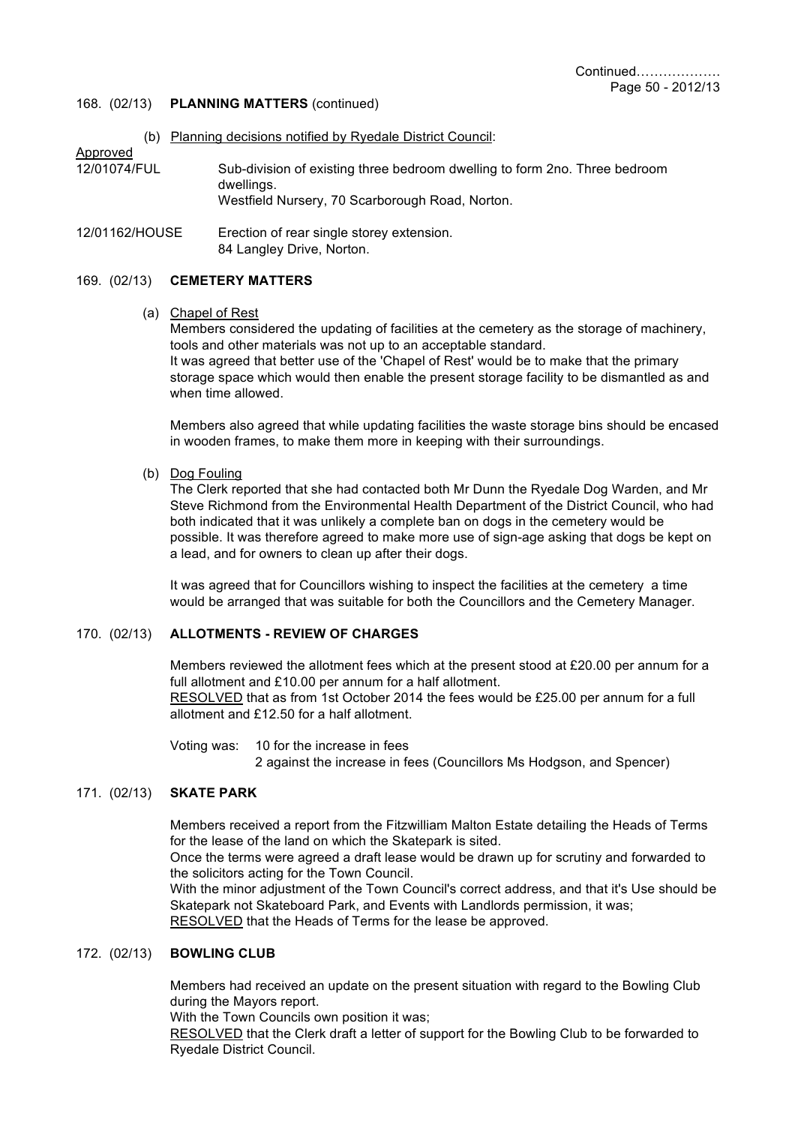### 168. (02/13) **PLANNING MATTERS** (continued)

- (b) Planning decisions notified by Ryedale District Council:
- Approved 12/01074/FUL Sub-division of existing three bedroom dwelling to form 2no. Three bedroom dwellings. Westfield Nursery, 70 Scarborough Road, Norton.
- 12/01162/HOUSE Erection of rear single storey extension. 84 Langley Drive, Norton.

#### 169. (02/13) **CEMETERY MATTERS**

(a) Chapel of Rest

Members considered the updating of facilities at the cemetery as the storage of machinery, tools and other materials was not up to an acceptable standard. It was agreed that better use of the 'Chapel of Rest' would be to make that the primary storage space which would then enable the present storage facility to be dismantled as and when time allowed.

Members also agreed that while updating facilities the waste storage bins should be encased in wooden frames, to make them more in keeping with their surroundings.

(b) Dog Fouling

The Clerk reported that she had contacted both Mr Dunn the Ryedale Dog Warden, and Mr Steve Richmond from the Environmental Health Department of the District Council, who had both indicated that it was unlikely a complete ban on dogs in the cemetery would be possible. It was therefore agreed to make more use of sign-age asking that dogs be kept on a lead, and for owners to clean up after their dogs.

It was agreed that for Councillors wishing to inspect the facilities at the cemetery a time would be arranged that was suitable for both the Councillors and the Cemetery Manager.

### 170. (02/13) **ALLOTMENTS - REVIEW OF CHARGES**

Members reviewed the allotment fees which at the present stood at £20.00 per annum for a full allotment and £10.00 per annum for a half allotment. RESOLVED that as from 1st October 2014 the fees would be £25.00 per annum for a full allotment and £12.50 for a half allotment.

Voting was: 10 for the increase in fees 2 against the increase in fees (Councillors Ms Hodgson, and Spencer)

#### 171. (02/13) **SKATE PARK**

Members received a report from the Fitzwilliam Malton Estate detailing the Heads of Terms for the lease of the land on which the Skatepark is sited.

Once the terms were agreed a draft lease would be drawn up for scrutiny and forwarded to the solicitors acting for the Town Council.

With the minor adjustment of the Town Council's correct address, and that it's Use should be Skatepark not Skateboard Park, and Events with Landlords permission, it was; RESOLVED that the Heads of Terms for the lease be approved.

### 172. (02/13) **BOWLING CLUB**

Members had received an update on the present situation with regard to the Bowling Club during the Mayors report.

With the Town Councils own position it was:

RESOLVED that the Clerk draft a letter of support for the Bowling Club to be forwarded to Ryedale District Council.